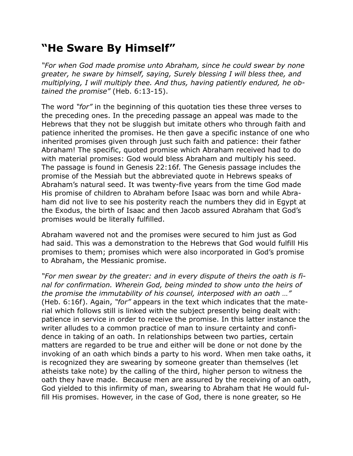## **"He Sware By Himself"**

*"For when God made promise unto Abraham, since he could swear by none greater, he sware by himself, saying, Surely blessing I will bless thee, and multiplying, I will multiply thee. And thus, having patiently endured, he obtained the promise"* (Heb. 6:13-15).

The word *"for"* in the beginning of this quotation ties these three verses to the preceding ones. In the preceding passage an appeal was made to the Hebrews that they not be sluggish but imitate others who through faith and patience inherited the promises. He then gave a specific instance of one who inherited promises given through just such faith and patience: their father Abraham! The specific, quoted promise which Abraham received had to do with material promises: God would bless Abraham and multiply his seed. The passage is found in Genesis 22:16f. The Genesis passage includes the promise of the Messiah but the abbreviated quote in Hebrews speaks of Abraham's natural seed. It was twenty-five years from the time God made His promise of children to Abraham before Isaac was born and while Abraham did not live to see his posterity reach the numbers they did in Egypt at the Exodus, the birth of Isaac and then Jacob assured Abraham that God's promises would be literally fulfilled.

Abraham wavered not and the promises were secured to him just as God had said. This was a demonstration to the Hebrews that God would fulfill His promises to them; promises which were also incorporated in God's promise to Abraham, the Messianic promise.

*"For men swear by the greater: and in every dispute of theirs the oath is final for confirmation. Wherein God, being minded to show unto the heirs of the promise the immutability of his counsel, interposed with an oath …"* (Heb. 6:16f). Again, *"for"* appears in the text which indicates that the material which follows still is linked with the subject presently being dealt with: patience in service in order to receive the promise. In this latter instance the writer alludes to a common practice of man to insure certainty and confidence in taking of an oath. In relationships between two parties, certain matters are regarded to be true and either will be done or not done by the invoking of an oath which binds a party to his word. When men take oaths, it is recognized they are swearing by someone greater than themselves (let atheists take note) by the calling of the third, higher person to witness the oath they have made. Because men are assured by the receiving of an oath, God yielded to this infirmity of man, swearing to Abraham that He would fulfill His promises. However, in the case of God, there is none greater, so He